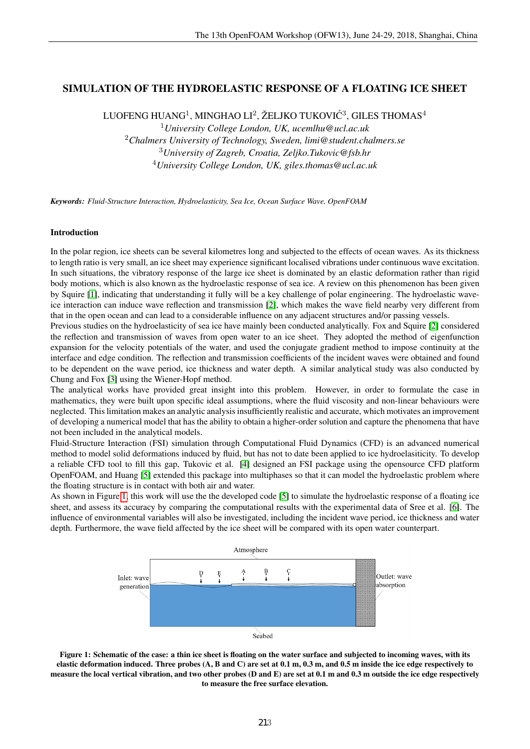# SIMULATION OF THE HYDROELASTIC RESPONSE OF A FLOATING ICE SHEET

LUOFENG HUANG $^1$ , MINGHAO LI $^2$ , ŽELJKO TUKOVIĆ $^3$ , GILES THOMAS $^4$ 

*University College London, UK, ucemlhu@ucl.ac.uk Chalmers University of Technology, Sweden, limi@student.chalmers.se University of Zagreb, Croatia, Zeljko.Tukovic@fsb.hr University College London, UK, giles.thomas@ucl.ac.uk*

*Keywords: Fluid-Structure Interaction, Hydroelasticity, Sea Ice, Ocean Surface Wave, OpenFOAM*

### Introduction

In the polar region, ice sheets can be several kilometres long and subjected to the effects of ocean waves. As its thickness to length ratio is very small, an ice sheet may experience significant localised vibrations under continuous wave excitation. In such situations, the vibratory response of the large ice sheet is dominated by an elastic deformation rather than rigid body motions, which is also known as the hydroelastic response of sea ice. A review on this phenomenon has been given by Squire [1], indicating that understanding it fully will be a key challenge of polar engineering. The hydroelastic waveice interaction can induce wave reflection and transmission [2], which makes the wave field nearby very different from that in the open ocean and can lead to a considerable influence on any adjacent structures and/or passing vessels.

Previous studies on the hydroelasticity of sea ice have mainly been conducted analytically. Fox and Squire [2] considered the reflection and transmission of waves from open water to an ice sheet. They adopted the method of eigenfunction expansion for the velocity potentials of the water, and used the conjugate gradient method to impose continuity at the interface and edge condition. The reflection and transmission coefficients of the incident waves were obtained and found to be dependent on the wave period, ice thickness and water depth. A similar analytical study was also conducted by Chung and Fox [3] using the Wiener-Hopf method.

The analytical works have provided great insight into this problem. However, in order to formulate the case in mathematics, they were built upon specific ideal assumptions, where the fluid viscosity and non-linear behaviours were neglected. This limitation makes an analytic analysis insufficiently realistic and accurate, which motivates an improvement of developing a numerical model that has the ability to obtain a higher-order solution and capture the phenomena that have not been included in the analytical models.

Fluid-Structure Interaction (FSI) simulation through Computational Fluid Dynamics (CFD) is an advanced numerical method to model solid deformations induced by fluid, but has not to date been applied to ice hydroelasiticity. To develop a reliable CFD tool to fill this gap, Tukovic et al. [4] designed an FSI package using the opensource CFD platform OpenFOAM, and Huang [5] extended this package into multiphases so that it can model the hydroelastic problem where the floating structure is in contact with both air and water.

As shown in Figure 1, this work will use the the developed code [5] to simulate the hydroelastic response of a floating ice sheet, and assess its accuracy by comparing the computational results with the experimental data of Sree et al. [6]. The influence of environmental variables will also be investigated, including the incident wave period, ice thickness and water depth. Furthermore, the wave field affected by the ice sheet will be compared with its open water counterpart.



Figure 1: Schematic of the case: a thin ice sheet is floating on the water surface and subjected to incoming waves, with its elastic deformation induced. Three probes (A, B and C) are set at 0.1 m, 0.3 m, and 0.5 m inside the ice edge respectively to measure the local vertical vibration, and two other probes (D and E) are set at 0.1 m and 0.3 m outside the ice edge respectively to measure the free surface elevation.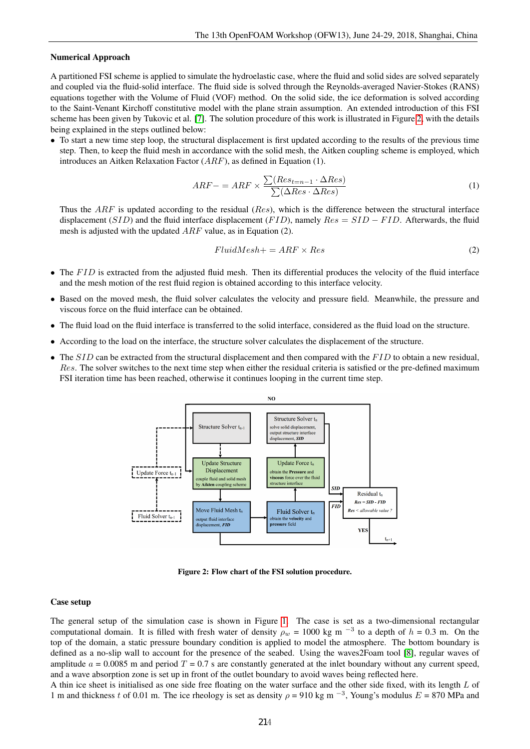#### Numerical Approach

A partitioned FSI scheme is applied to simulate the hydroelastic case, where the fluid and solid sides are solved separately and coupled via the fluid-solid interface. The fluid side is solved through the Reynolds-averaged Navier-Stokes (RANS) equations together with the Volume of Fluid (VOF) method. On the solid side, the ice deformation is solved according to the Saint-Venant Kirchoff constitutive model with the plane strain assumption. An extended introduction of this FSI scheme has been given by Tukovic et al. [7]. The solution procedure of this work is illustrated in Figure 2, with the details being explained in the steps outlined below:

• To start a new time step loop, the structural displacement is first updated according to the results of the previous time step. Then, to keep the fluid mesh in accordance with the solid mesh, the Aitken coupling scheme is employed, which introduces an Aitken Relaxation Factor  $(ARF)$ , as defined in Equation (1).

$$
ARF - = ARF \times \frac{\sum (Res_{t=n-1} \cdot \Delta Res)}{\sum (\Delta Res \cdot \Delta Res)}
$$
(1)

Thus the  $ARF$  is updated according to the residual ( $Res$ ), which is the difference between the structural interface displacement (SID) and the fluid interface displacement (FID), namely  $Res = SID - FID$ . Afterwards, the fluid mesh is adjusted with the updated ARF value, as in Equation (2).

$$
FluidMesh += ARF \times Res
$$
 (2)

- $\bullet$  The FID is extracted from the adjusted fluid mesh. Then its differential produces the velocity of the fluid interface and the mesh motion of the rest fluid region is obtained according to this interface velocity.
- Based on the moved mesh, the fluid solver calculates the velocity and pressure field. Meanwhile, the pressure and viscous force on the fluid interface can be obtained.
- The fluid load on the fluid interface is transferred to the solid interface, considered as the fluid load on the structure.
- According to the load on the interface, the structure solver calculates the displacement of the structure.
- The  $SID$  can be extracted from the structural displacement and then compared with the  $FID$  to obtain a new residual, Res. The solver switches to the next time step when either the residual criteria is satisfied or the pre-defined maximum FSI iteration time has been reached, otherwise it continues looping in the current time step.



Figure 2: Flow chart of the FSI solution procedure.

#### Case setup

The general setup of the simulation case is shown in Figure 1. The case is set as a two-dimensional rectangular computational domain. It is filled with fresh water of density  $\rho_w = 1000$  kg m<sup>-3</sup> to a depth of  $h = 0.3$  m. On the top of the domain, a static pressure boundary condition is applied to model the atmosphere. The bottom boundary is defined as a no-slip wall to account for the presence of the seabed. Using the waves2Foam tool [8], regular waves of amplitude  $a = 0.0085$  m and period  $T = 0.7$  s are constantly generated at the inlet boundary without any current speed, and a wave absorption zone is set up in front of the outlet boundary to avoid waves being reflected here.

A thin ice sheet is initialised as one side free floating on the water surface and the other side fixed, with its length L of 1 m and thickness t of 0.01 m. The ice rheology is set as density  $\rho = 910$  kg m<sup>-3</sup>, Young's modulus  $E = 870$  MPa and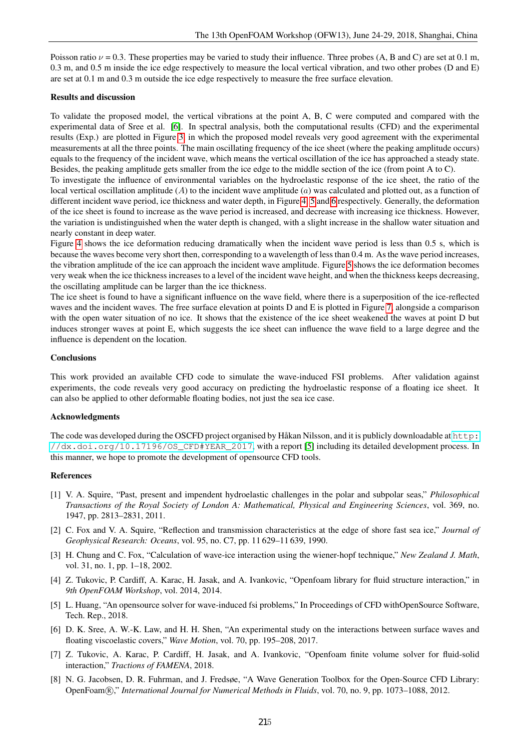Poisson ratio  $\nu = 0.3$ . These properties may be varied to study their influence. Three probes (A, B and C) are set at 0.1 m, 0.3 m, and 0.5 m inside the ice edge respectively to measure the local vertical vibration, and two other probes (D and E) are set at 0.1 m and 0.3 m outside the ice edge respectively to measure the free surface elevation.

## Results and discussion

To validate the proposed model, the vertical vibrations at the point A, B, C were computed and compared with the experimental data of Sree et al. [6]. In spectral analysis, both the computational results (CFD) and the experimental results (Exp.) are plotted in Figure 3, in which the proposed model reveals very good agreement with the experimental measurements at all the three points. The main oscillating frequency of the ice sheet (where the peaking amplitude occurs) equals to the frequency of the incident wave, which means the vertical oscillation of the ice has approached a steady state. Besides, the peaking amplitude gets smaller from the ice edge to the middle section of the ice (from point A to C).

To investigate the influence of environmental variables on the hydroelastic response of the ice sheet, the ratio of the local vertical oscillation amplitude (A) to the incident wave amplitude ( $a$ ) was calculated and plotted out, as a function of different incident wave period, ice thickness and water depth, in Figure 4, 5 and 6 respectively. Generally, the deformation of the ice sheet is found to increase as the wave period is increased, and decrease with increasing ice thickness. However, the variation is undistinguished when the water depth is changed, with a slight increase in the shallow water situation and nearly constant in deep water.

Figure 4 shows the ice deformation reducing dramatically when the incident wave period is less than 0.5 s, which is because the waves become very short then, corresponding to a wavelength of less than 0.4 m. As the wave period increases, the vibration amplitude of the ice can approach the incident wave amplitude. Figure 5 shows the ice deformation becomes very weak when the ice thickness increases to a level of the incident wave height, and when the thickness keeps decreasing, the oscillating amplitude can be larger than the ice thickness.

The ice sheet is found to have a significant influence on the wave field, where there is a superposition of the ice-reflected waves and the incident waves. The free surface elevation at points D and E is plotted in Figure 7, alongside a comparison with the open water situation of no ice. It shows that the existence of the ice sheet weakened the waves at point D but induces stronger waves at point E, which suggests the ice sheet can influence the wave field to a large degree and the influence is dependent on the location.

## Conclusions

This work provided an available CFD code to simulate the wave-induced FSI problems. After validation against experiments, the code reveals very good accuracy on predicting the hydroelastic response of a floating ice sheet. It can also be applied to other deformable floating bodies, not just the sea ice case.

#### Acknowledgments

The code was developed during the OSCFD project organised by Håkan Nilsson, and it is publicly downloadable at [http:](http://dx.doi.org/10.17196/OS_CFD#YEAR_2017)  $//dx.doi.org/10.17196/OSCFD#YEAR 2017, with a report [5] including its detailed development process. In$ this manner, we hope to promote the development of opensource CFD tools.

## References

- [1] V. A. Squire, "Past, present and impendent hydroelastic challenges in the polar and subpolar seas," *Philosophical Transactions of the Royal Society of London A: Mathematical, Physical and Engineering Sciences*, vol. 369, no. 1947, pp. 2813–2831, 2011.
- [2] C. Fox and V. A. Squire, "Reflection and transmission characteristics at the edge of shore fast sea ice," *Journal of Geophysical Research: Oceans*, vol. 95, no. C7, pp. 11 629–11 639, 1990.
- [3] H. Chung and C. Fox, "Calculation of wave-ice interaction using the wiener-hopf technique," *New Zealand J. Math*, vol. 31, no. 1, pp. 1–18, 2002.
- [4] Z. Tukovic, P. Cardiff, A. Karac, H. Jasak, and A. Ivankovic, "Openfoam library for fluid structure interaction," in *9th OpenFOAM Workshop*, vol. 2014, 2014.
- [5] L. Huang, "An opensource solver for wave-induced fsi problems," In Proceedings of CFD withOpenSource Software, Tech. Rep., 2018.
- [6] D. K. Sree, A. W.-K. Law, and H. H. Shen, "An experimental study on the interactions between surface waves and floating viscoelastic covers," *Wave Motion*, vol. 70, pp. 195–208, 2017.
- [7] Z. Tukovic, A. Karac, P. Cardiff, H. Jasak, and A. Ivankovic, "Openfoam finite volume solver for fluid-solid interaction," *Tractions of FAMENA*, 2018.
- [8] N. G. Jacobsen, D. R. Fuhrman, and J. Fredsøe, "A Wave Generation Toolbox for the Open-Source CFD Library: OpenFoam <sup>R</sup> ," *International Journal for Numerical Methods in Fluids*, vol. 70, no. 9, pp. 1073–1088, 2012.